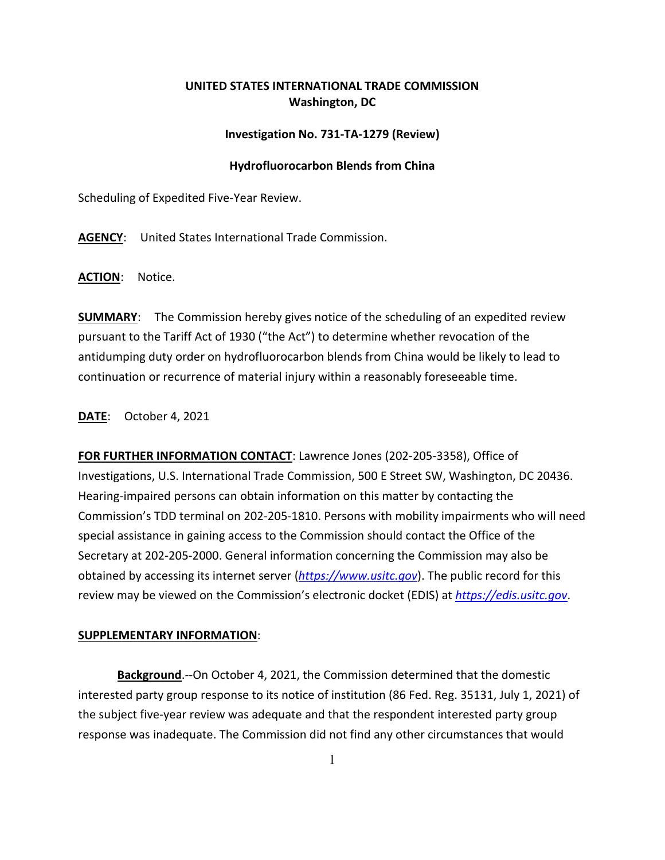## **UNITED STATES INTERNATIONAL TRADE COMMISSION Washington, DC**

## **Investigation No. 731-TA-1279 (Review)**

## **Hydrofluorocarbon Blends from China**

Scheduling of Expedited Five-Year Review.

**AGENCY**: United States International Trade Commission.

**ACTION**: Notice.

**SUMMARY**: The Commission hereby gives notice of the scheduling of an expedited review pursuant to the Tariff Act of 1930 ("the Act") to determine whether revocation of the antidumping duty order on hydrofluorocarbon blends from China would be likely to lead to continuation or recurrence of material injury within a reasonably foreseeable time.

**DATE**: October 4, 2021

**FOR FURTHER INFORMATION CONTACT**: Lawrence Jones (202-205-3358), Office of Investigations, U.S. International Trade Commission, 500 E Street SW, Washington, DC 20436. Hearing-impaired persons can obtain information on this matter by contacting the Commission's TDD terminal on 202-205-1810. Persons with mobility impairments who will need special assistance in gaining access to the Commission should contact the Office of the Secretary at 202-205-2000. General information concerning the Commission may also be obtained by accessing its internet server (*[https://www.usitc.gov](https://www.usitc.gov/)*). The public record for this review may be viewed on the Commission's electronic docket (EDIS) at *[https://edis.usitc.gov](https://edis.usitc.gov/)*.

## **SUPPLEMENTARY INFORMATION**:

**Background**.--On October 4, 2021, the Commission determined that the domestic interested party group response to its notice of institution (86 Fed. Reg. 35131, July 1, 2021) of the subject five-year review was adequate and that the respondent interested party group response was inadequate. The Commission did not find any other circumstances that would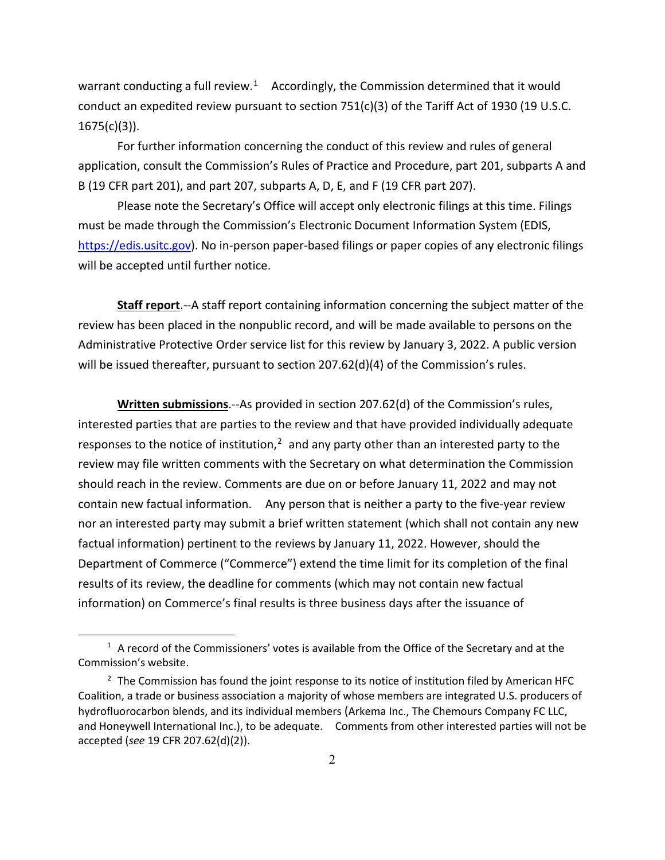warrant conducting a full review.<sup>1</sup> Accordingly, the Commission determined that it would conduct an expedited review pursuant to section 751(c)(3) of the Tariff Act of 1930 (19 U.S.C.  $1675(c)(3)$ ).

For further information concerning the conduct of this review and rules of general application, consult the Commission's Rules of Practice and Procedure, part 201, subparts A and B (19 CFR part 201), and part 207, subparts A, D, E, and F (19 CFR part 207).

Please note the Secretary's Office will accept only electronic filings at this time. Filings must be made through the Commission's Electronic Document Information System (EDIS, [https://edis.usitc.gov\)](https://edis.usitc.gov/). No in-person paper-based filings or paper copies of any electronic filings will be accepted until further notice.

**Staff report**.--A staff report containing information concerning the subject matter of the review has been placed in the nonpublic record, and will be made available to persons on the Administrative Protective Order service list for this review by January 3, 2022. A public version will be issued thereafter, pursuant to section 207.62(d)(4) of the Commission's rules.

**Written submissions**.--As provided in section 207.62(d) of the Commission's rules, interested parties that are parties to the review and that have provided individually adequate responses to the notice of institution, $2$  and any party other than an interested party to the review may file written comments with the Secretary on what determination the Commission should reach in the review. Comments are due on or before January 11, 2022 and may not contain new factual information. Any person that is neither a party to the five-year review nor an interested party may submit a brief written statement (which shall not contain any new factual information) pertinent to the reviews by January 11, 2022. However, should the Department of Commerce ("Commerce") extend the time limit for its completion of the final results of its review, the deadline for comments (which may not contain new factual information) on Commerce's final results is three business days after the issuance of

<span id="page-1-0"></span> $1$  A record of the Commissioners' votes is available from the Office of the Secretary and at the Commission's website.

<span id="page-1-1"></span> $2$  The Commission has found the joint response to its notice of institution filed by American HFC Coalition, a trade or business association a majority of whose members are integrated U.S. producers of hydrofluorocarbon blends, and its individual members (Arkema Inc., The Chemours Company FC LLC, and Honeywell International Inc.), to be adequate. Comments from other interested parties will not be accepted (*see* 19 CFR 207.62(d)(2)).